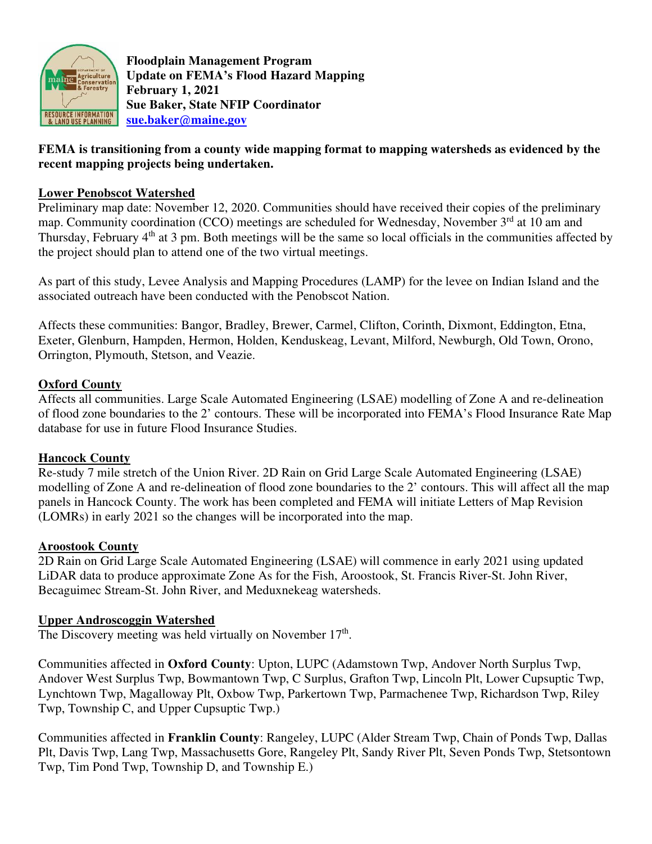

**Floodplain Management Program Update on FEMA's Flood Hazard Mapping February 1, 2021 Sue Baker, State NFIP Coordinator sue.baker@maine.gov**

# **FEMA is transitioning from a county wide mapping format to mapping watersheds as evidenced by the recent mapping projects being undertaken.**

## **Lower Penobscot Watershed**

Preliminary map date: November 12, 2020. Communities should have received their copies of the preliminary map. Community coordination (CCO) meetings are scheduled for Wednesday, November  $3<sup>rd</sup>$  at 10 am and Thursday, February 4<sup>th</sup> at 3 pm. Both meetings will be the same so local officials in the communities affected by the project should plan to attend one of the two virtual meetings.

As part of this study, Levee Analysis and Mapping Procedures (LAMP) for the levee on Indian Island and the associated outreach have been conducted with the Penobscot Nation.

Affects these communities: Bangor, Bradley, Brewer, Carmel, Clifton, Corinth, Dixmont, Eddington, Etna, Exeter, Glenburn, Hampden, Hermon, Holden, Kenduskeag, Levant, Milford, Newburgh, Old Town, Orono, Orrington, Plymouth, Stetson, and Veazie.

### **Oxford County**

Affects all communities. Large Scale Automated Engineering (LSAE) modelling of Zone A and re-delineation of flood zone boundaries to the 2' contours. These will be incorporated into FEMA's Flood Insurance Rate Map database for use in future Flood Insurance Studies.

#### **Hancock County**

Re-study 7 mile stretch of the Union River. 2D Rain on Grid Large Scale Automated Engineering (LSAE) modelling of Zone A and re-delineation of flood zone boundaries to the 2' contours. This will affect all the map panels in Hancock County. The work has been completed and FEMA will initiate Letters of Map Revision (LOMRs) in early 2021 so the changes will be incorporated into the map.

#### **Aroostook County**

2D Rain on Grid Large Scale Automated Engineering (LSAE) will commence in early 2021 using updated LiDAR data to produce approximate Zone As for the Fish, Aroostook, St. Francis River-St. John River, Becaguimec Stream-St. John River, and Meduxnekeag watersheds.

#### **Upper Androscoggin Watershed**

The Discovery meeting was held virtually on November  $17<sup>th</sup>$ .

Communities affected in **Oxford County**: Upton, LUPC (Adamstown Twp, Andover North Surplus Twp, Andover West Surplus Twp, Bowmantown Twp, C Surplus, Grafton Twp, Lincoln Plt, Lower Cupsuptic Twp, Lynchtown Twp, Magalloway Plt, Oxbow Twp, Parkertown Twp, Parmachenee Twp, Richardson Twp, Riley Twp, Township C, and Upper Cupsuptic Twp.)

Communities affected in **Franklin County**: Rangeley, LUPC (Alder Stream Twp, Chain of Ponds Twp, Dallas Plt, Davis Twp, Lang Twp, Massachusetts Gore, Rangeley Plt, Sandy River Plt, Seven Ponds Twp, Stetsontown Twp, Tim Pond Twp, Township D, and Township E.)